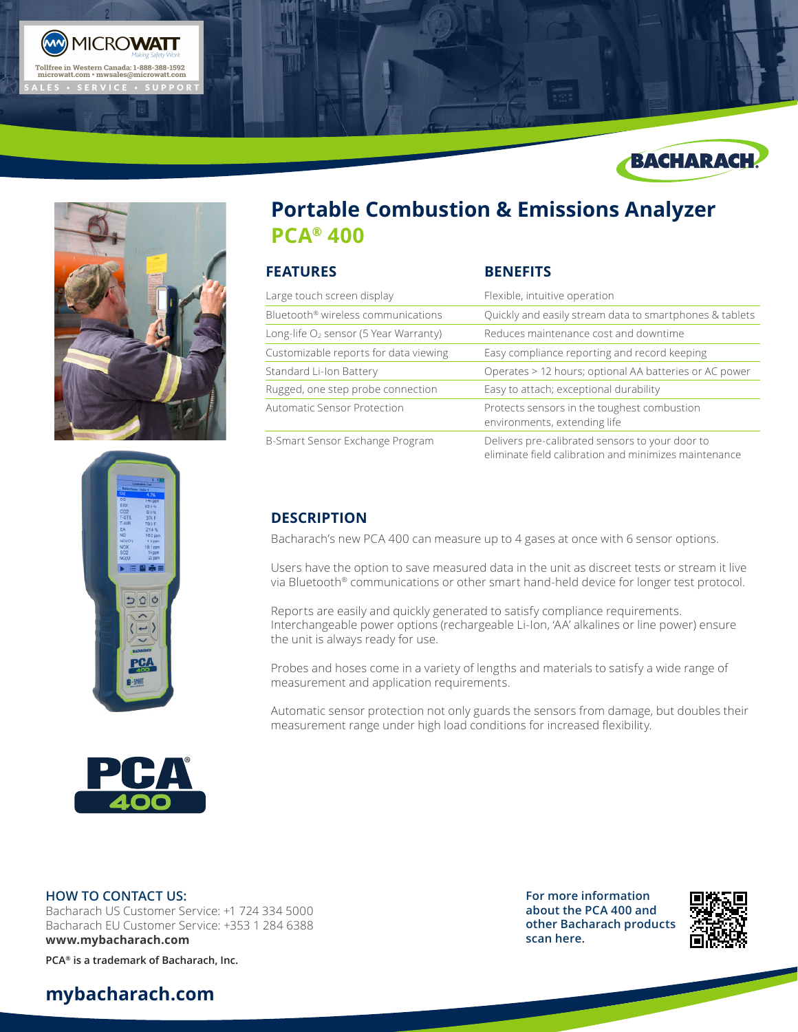







# **Portable Combustion & Emissions Analyzer PCA® 400**

| <b>FEATURES</b>                                   | <b>BENEFITS</b>                                                                                          |
|---------------------------------------------------|----------------------------------------------------------------------------------------------------------|
| Large touch screen display                        | Flexible, intuitive operation                                                                            |
| Bluetooth <sup>®</sup> wireless communications    | Quickly and easily stream data to smartphones & tablets                                                  |
| Long-life O <sub>2</sub> sensor (5 Year Warranty) | Reduces maintenance cost and downtime                                                                    |
| Customizable reports for data viewing             | Easy compliance reporting and record keeping                                                             |
| Standard Li-Ion Battery                           | Operates > 12 hours; optional AA batteries or AC power                                                   |
| Rugged, one step probe connection                 | Easy to attach; exceptional durability                                                                   |
| Automatic Sensor Protection                       | Protects sensors in the toughest combustion<br>environments, extending life                              |
| B-Smart Sensor Exchange Program                   | Delivers pre-calibrated sensors to your door to<br>eliminate field calibration and minimizes maintenance |

### **DESCRIPTION**

Bacharach's new PCA 400 can measure up to 4 gases at once with 6 sensor options.

Users have the option to save measured data in the unit as discreet tests or stream it live via Bluetooth® communications or other smart hand-held device for longer test protocol.

Reports are easily and quickly generated to satisfy compliance requirements. Interchangeable power options (rechargeable Li-Ion, 'AA' alkalines or line power) ensure the unit is always ready for use.

Probes and hoses come in a variety of lengths and materials to satisfy a wide range of measurement and application requirements.

Automatic sensor protection not only guards the sensors from damage, but doubles their measurement range under high load conditions for increased flexibility.



#### **HOW TO CONTACT US:**

Bacharach US Customer Service: +1 724 334 5000 Bacharach EU Customer Service: +353 1 284 6388 **www.mybacharach.com** 

**PCA® is a trademark of Bacharach, Inc.**

## **mybacharach.com**

**For more information about the PCA 400 and other Bacharach products scan here.**